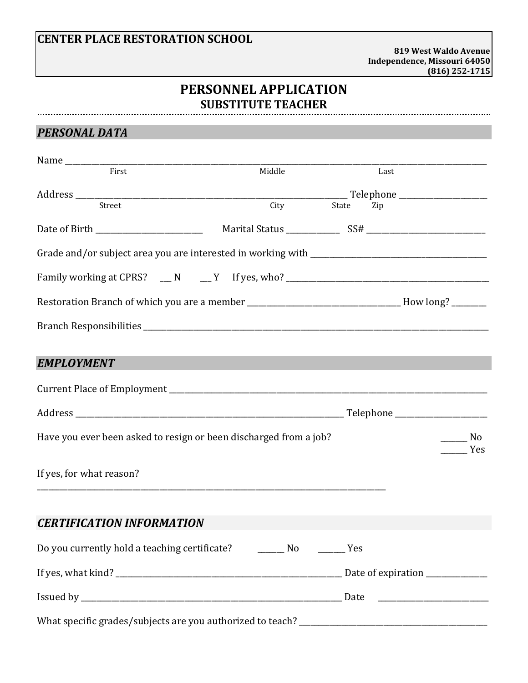## **CENTER PLACE RESTORATION SCHOOL**

**819 West Waldo Avenue Independence, Missouri 64050 (816) 252-1715**

## **PERSONNEL APPLICATION SUBSTITUTE TEACHER**

### *PERSONAL DATA*

| First                                                                             | Middle | Last         |                                 |
|-----------------------------------------------------------------------------------|--------|--------------|---------------------------------|
|                                                                                   |        |              |                                 |
| Street                                                                            | City   | State<br>Zip |                                 |
|                                                                                   |        |              |                                 |
|                                                                                   |        |              |                                 |
| Family working at CPRS? ___ N ___ Y If yes, who? ________________________________ |        |              |                                 |
|                                                                                   |        |              |                                 |
|                                                                                   |        |              |                                 |
| <b>EMPLOYMENT</b>                                                                 |        |              |                                 |
|                                                                                   |        |              |                                 |
|                                                                                   |        |              | Telephone _____________________ |
| Have you ever been asked to resign or been discharged from a job?                 |        |              | N <sub>0</sub><br>Yes           |
| If yes, for what reason?                                                          |        |              |                                 |
| <b>CERTIFICATION INFORMATION</b>                                                  |        |              |                                 |
| Do you currently hold a teaching certificate? Mo Mo The Mes                       |        |              |                                 |
|                                                                                   |        |              |                                 |
|                                                                                   |        |              |                                 |
|                                                                                   |        |              |                                 |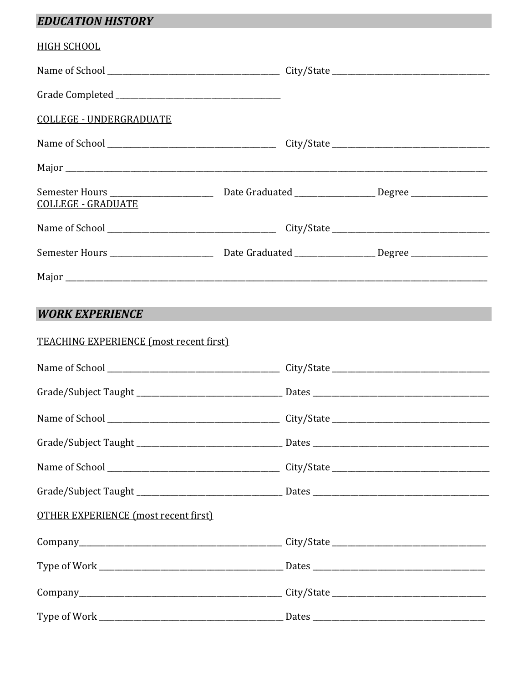# **EDUCATION HISTORY**

| <b>HIGH SCHOOL</b>                                                                                             |  |  |
|----------------------------------------------------------------------------------------------------------------|--|--|
|                                                                                                                |  |  |
|                                                                                                                |  |  |
| <b>COLLEGE - UNDERGRADUATE</b>                                                                                 |  |  |
|                                                                                                                |  |  |
|                                                                                                                |  |  |
| <b>COLLEGE - GRADUATE</b>                                                                                      |  |  |
|                                                                                                                |  |  |
| Semester Hours ___________________________________Date Graduated _________________________Degree _____________ |  |  |
|                                                                                                                |  |  |
|                                                                                                                |  |  |
| <b>WORK EXPERIENCE</b>                                                                                         |  |  |
| <b>TEACHING EXPERIENCE (most recent first)</b>                                                                 |  |  |
|                                                                                                                |  |  |
|                                                                                                                |  |  |
|                                                                                                                |  |  |
|                                                                                                                |  |  |
|                                                                                                                |  |  |
|                                                                                                                |  |  |
| <b>OTHER EXPERIENCE (most recent first)</b>                                                                    |  |  |
|                                                                                                                |  |  |
|                                                                                                                |  |  |
|                                                                                                                |  |  |
|                                                                                                                |  |  |